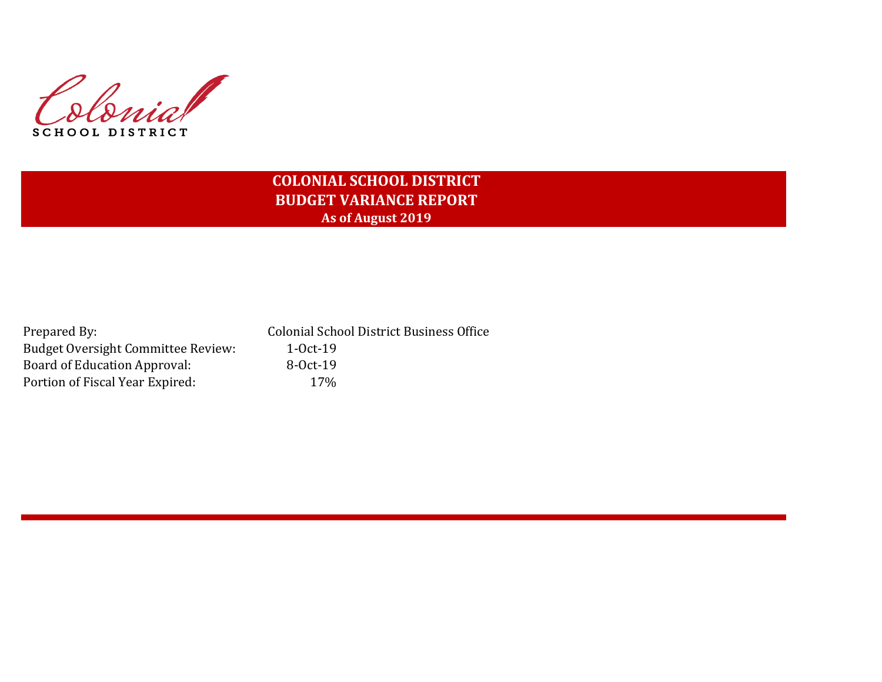

# **COLONIAL SCHOOL DISTRICT BUDGET VARIANCE REPORT As of August 2019**

| Prepared By:                              | <b>Colonial School District Business Office</b> |
|-------------------------------------------|-------------------------------------------------|
| <b>Budget Oversight Committee Review:</b> | $1-0ct-19$                                      |
| Board of Education Approval:              | $8-0ct-19$                                      |
| Portion of Fiscal Year Expired:           | $17\%$                                          |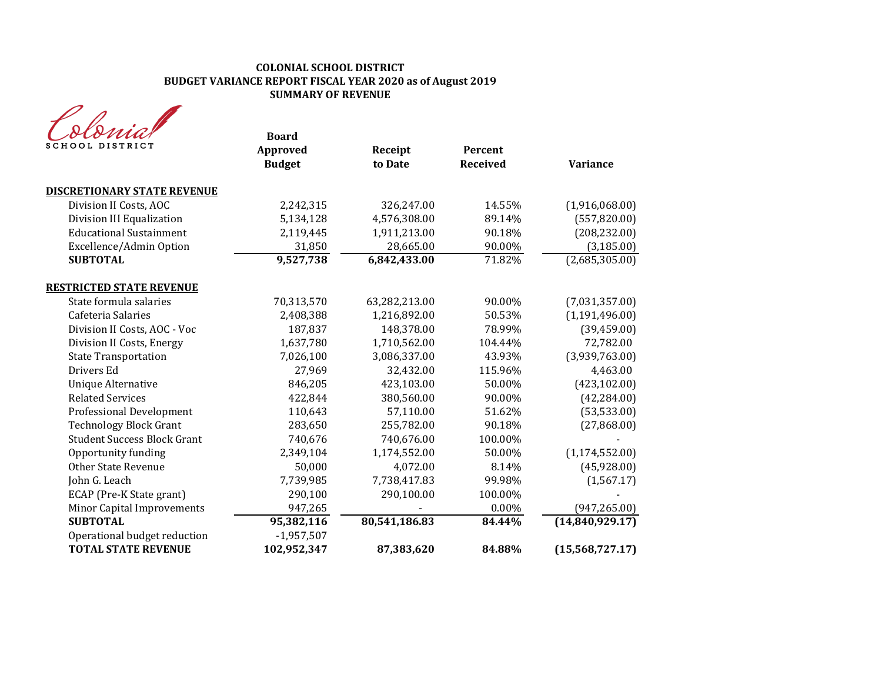| SCHOOL DISTRICT                    | <b>Board</b><br>Approved<br><b>Budget</b> | Receipt<br>to Date | Percent<br><b>Received</b> | <b>Variance</b>  |
|------------------------------------|-------------------------------------------|--------------------|----------------------------|------------------|
| <b>DISCRETIONARY STATE REVENUE</b> |                                           |                    |                            |                  |
| Division II Costs, AOC             | 2,242,315                                 | 326,247.00         | 14.55%                     | (1,916,068.00)   |
| Division III Equalization          | 5,134,128                                 | 4,576,308.00       | 89.14%                     | (557, 820.00)    |
| <b>Educational Sustainment</b>     | 2,119,445                                 | 1,911,213.00       | 90.18%                     | (208, 232.00)    |
| Excellence/Admin Option            | 31,850                                    | 28,665.00          | 90.00%                     | (3, 185.00)      |
| <b>SUBTOTAL</b>                    | 9,527,738                                 | 6,842,433.00       | 71.82%                     | (2,685,305.00)   |
| <b>RESTRICTED STATE REVENUE</b>    |                                           |                    |                            |                  |
| State formula salaries             | 70,313,570                                | 63,282,213.00      | 90.00%                     | (7,031,357.00)   |
| Cafeteria Salaries                 | 2,408,388                                 | 1,216,892.00       | 50.53%                     | (1, 191, 496.00) |
| Division II Costs, AOC - Voc       | 187,837                                   | 148,378.00         | 78.99%                     | (39, 459.00)     |
| Division II Costs, Energy          | 1,637,780                                 | 1,710,562.00       | 104.44%                    | 72,782.00        |
| <b>State Transportation</b>        | 7,026,100                                 | 3,086,337.00       | 43.93%                     | (3,939,763.00)   |
| Drivers Ed                         | 27,969                                    | 32,432.00          | 115.96%                    | 4,463.00         |
| <b>Unique Alternative</b>          | 846,205                                   | 423,103.00         | 50.00%                     | (423, 102.00)    |
| <b>Related Services</b>            | 422,844                                   | 380,560.00         | 90.00%                     | (42, 284.00)     |
| <b>Professional Development</b>    | 110,643                                   | 57,110.00          | 51.62%                     | (53, 533.00)     |
| <b>Technology Block Grant</b>      | 283,650                                   | 255,782.00         | 90.18%                     | (27,868.00)      |
| <b>Student Success Block Grant</b> | 740,676                                   | 740,676.00         | 100.00%                    |                  |
| Opportunity funding                | 2,349,104                                 | 1,174,552.00       | 50.00%                     | (1, 174, 552.00) |
| <b>Other State Revenue</b>         | 50,000                                    | 4,072.00           | 8.14%                      | (45, 928.00)     |
| John G. Leach                      | 7,739,985                                 | 7,738,417.83       | 99.98%                     | (1, 567.17)      |
| ECAP (Pre-K State grant)           | 290,100                                   | 290,100.00         | 100.00%                    |                  |
| Minor Capital Improvements         | 947,265                                   |                    | 0.00%                      | (947, 265.00)    |
| <b>SUBTOTAL</b>                    | 95,382,116                                | 80,541,186.83      | 84.44%                     | (14,840,929.17)  |
| Operational budget reduction       | $-1,957,507$                              |                    |                            |                  |
| <b>TOTAL STATE REVENUE</b>         | 102,952,347                               | 87,383,620         | 84.88%                     | (15,568,727.17)  |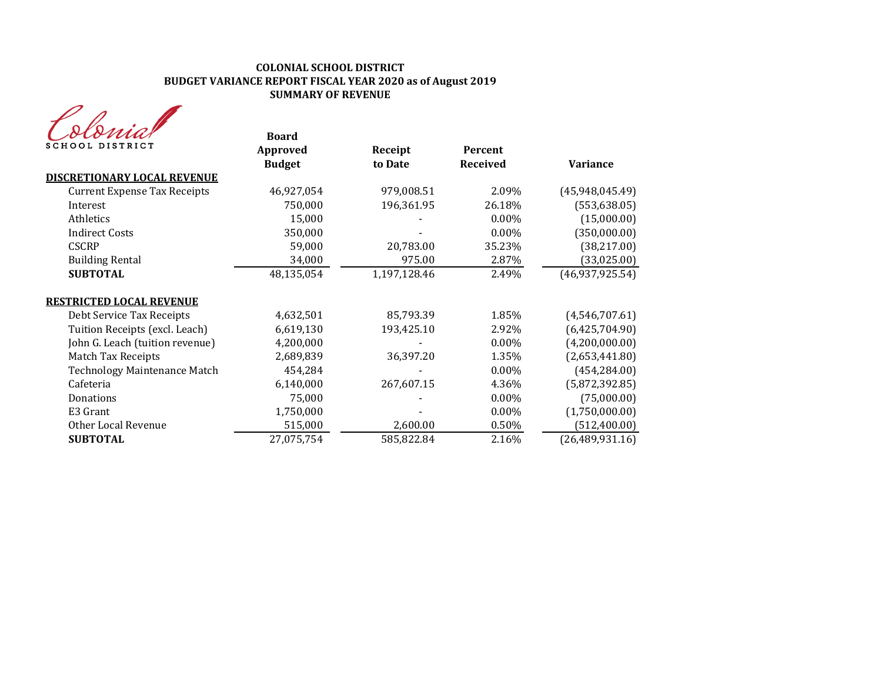| MA              |
|-----------------|
| SCHOOL DISTRICT |

| SCHOOL DISTRICT                     | <b>Board</b><br>Approved<br><b>Budget</b> | Receipt<br>to Date | Percent<br><b>Received</b> | <b>Variance</b>   |
|-------------------------------------|-------------------------------------------|--------------------|----------------------------|-------------------|
| DISCRETIONARY LOCAL REVENUE         |                                           |                    |                            |                   |
| <b>Current Expense Tax Receipts</b> | 46,927,054                                | 979,008.51         | 2.09%                      | (45, 948, 045.49) |
| Interest                            | 750,000                                   | 196,361.95         | 26.18%                     | (553, 638.05)     |
| Athletics                           | 15,000                                    |                    | $0.00\%$                   | (15,000.00)       |
| <b>Indirect Costs</b>               | 350,000                                   |                    | $0.00\%$                   | (350,000.00)      |
| <b>CSCRP</b>                        | 59,000                                    | 20,783.00          | 35.23%                     | (38, 217.00)      |
| <b>Building Rental</b>              | 34,000                                    | 975.00             | 2.87%                      | (33,025.00)       |
| <b>SUBTOTAL</b>                     | 48,135,054                                | 1,197,128.46       | 2.49%                      | (46,937,925.54)   |
| <u>RESTRICTED LOCAL REVENUE</u>     |                                           |                    |                            |                   |
| Debt Service Tax Receipts           | 4,632,501                                 | 85,793.39          | 1.85%                      | (4,546,707.61)    |
| Tuition Receipts (excl. Leach)      | 6,619,130                                 | 193,425.10         | 2.92%                      | (6,425,704.90)    |
| John G. Leach (tuition revenue)     | 4,200,000                                 |                    | $0.00\%$                   | (4,200,000.00)    |
| <b>Match Tax Receipts</b>           | 2,689,839                                 | 36,397.20          | 1.35%                      | (2,653,441.80)    |
| <b>Technology Maintenance Match</b> | 454,284                                   |                    | $0.00\%$                   | (454, 284.00)     |
| Cafeteria                           | 6,140,000                                 | 267,607.15         | 4.36%                      | (5,872,392.85)    |
| Donations                           | 75,000                                    |                    | $0.00\%$                   | (75,000.00)       |
| E3 Grant                            | 1,750,000                                 |                    | $0.00\%$                   | (1,750,000.00)    |
| Other Local Revenue                 | 515,000                                   | 2,600.00           | 0.50%                      | (512, 400.00)     |
| <b>SUBTOTAL</b>                     | 27,075,754                                | 585,822.84         | 2.16%                      | (26, 489, 931.16) |
|                                     |                                           |                    |                            |                   |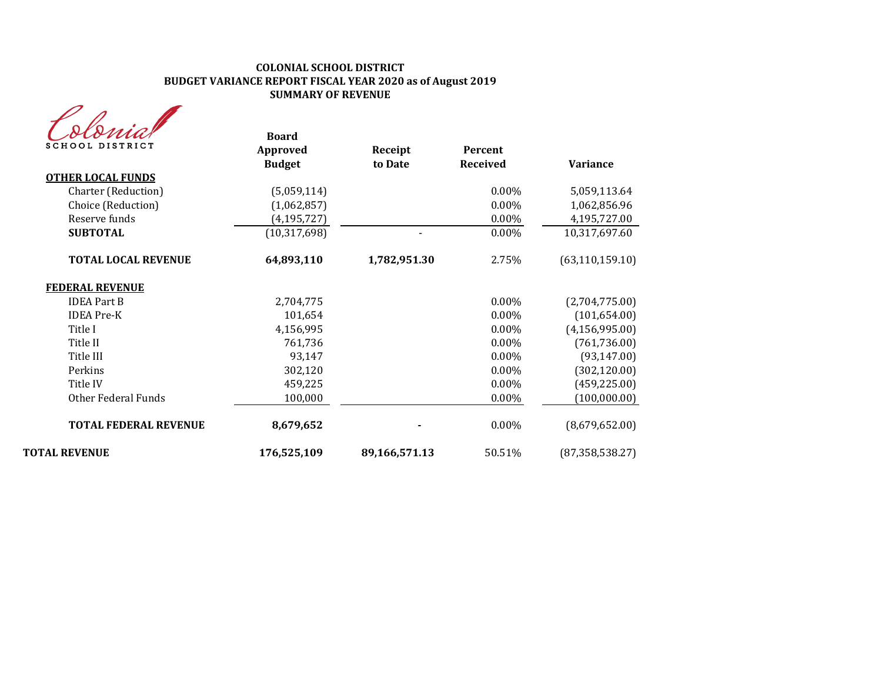| <b>SCHOOL DISTRICT</b>       | <b>Board</b><br><b>Approved</b><br><b>Budget</b> | Receipt<br>to Date | Percent<br><b>Received</b> | <b>Variance</b>   |
|------------------------------|--------------------------------------------------|--------------------|----------------------------|-------------------|
| <b>OTHER LOCAL FUNDS</b>     |                                                  |                    |                            |                   |
| Charter (Reduction)          | (5,059,114)                                      |                    | 0.00%                      | 5,059,113.64      |
| Choice (Reduction)           | (1,062,857)                                      |                    | 0.00%                      | 1,062,856.96      |
| Reserve funds                | (4, 195, 727)                                    |                    | 0.00%                      | 4,195,727.00      |
| <b>SUBTOTAL</b>              | (10, 317, 698)                                   |                    | 0.00%                      | 10,317,697.60     |
| <b>TOTAL LOCAL REVENUE</b>   | 64,893,110                                       | 1,782,951.30       | 2.75%                      | (63, 110, 159.10) |
| <b>FEDERAL REVENUE</b>       |                                                  |                    |                            |                   |
| <b>IDEA Part B</b>           | 2,704,775                                        |                    | 0.00%                      | (2,704,775.00)    |
| <b>IDEA</b> Pre-K            | 101,654                                          |                    | 0.00%                      | (101, 654.00)     |
| Title I                      | 4,156,995                                        |                    | 0.00%                      | (4, 156, 995.00)  |
| Title II                     | 761,736                                          |                    | 0.00%                      | (761, 736.00)     |
| Title III                    | 93,147                                           |                    | 0.00%                      | (93, 147.00)      |
| Perkins                      | 302,120                                          |                    | 0.00%                      | (302, 120.00)     |
| Title IV                     | 459,225                                          |                    | 0.00%                      | (459, 225.00)     |
| Other Federal Funds          | 100,000                                          |                    | 0.00%                      | (100,000.00)      |
| <b>TOTAL FEDERAL REVENUE</b> | 8,679,652                                        |                    | 0.00%                      | (8,679,652.00)    |
| <b>TOTAL REVENUE</b>         | 176,525,109                                      | 89,166,571.13      | 50.51%                     | (87, 358, 538.27) |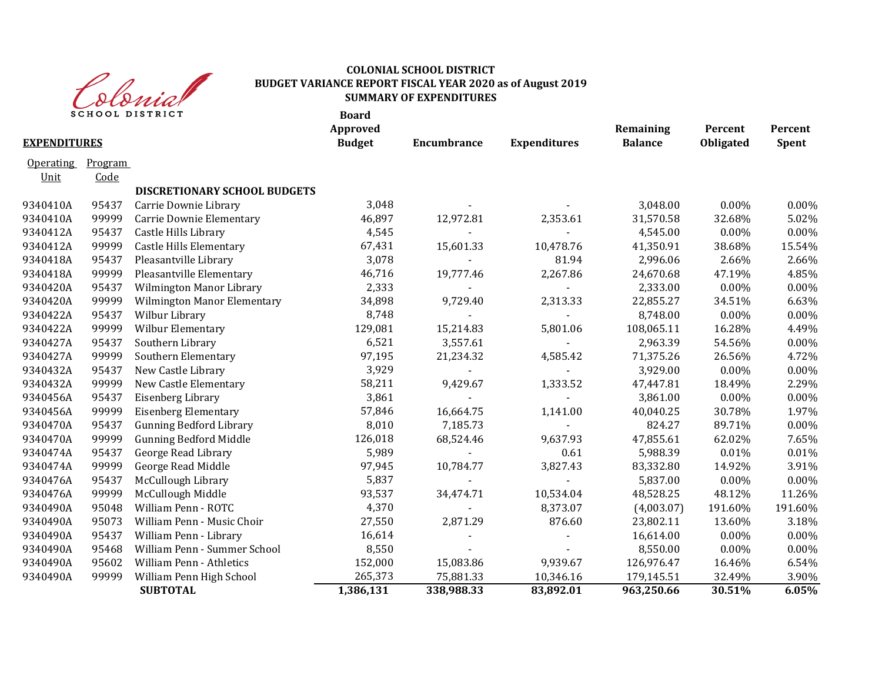

|                     |         | SCHOOL DISTRICT                    | <b>Board</b><br>Approved |             |                     | Remaining      | Percent   | Percent |
|---------------------|---------|------------------------------------|--------------------------|-------------|---------------------|----------------|-----------|---------|
| <b>EXPENDITURES</b> |         |                                    | <b>Budget</b>            | Encumbrance | <b>Expenditures</b> | <b>Balance</b> | Obligated | Spent   |
| <b>Operating</b>    | Program |                                    |                          |             |                     |                |           |         |
| Unit                | Code    |                                    |                          |             |                     |                |           |         |
|                     |         | DISCRETIONARY SCHOOL BUDGETS       |                          |             |                     |                |           |         |
| 9340410A            | 95437   | Carrie Downie Library              | 3,048                    |             |                     | 3,048.00       | 0.00%     | 0.00%   |
| 9340410A            | 99999   | Carrie Downie Elementary           | 46,897                   | 12,972.81   | 2,353.61            | 31,570.58      | 32.68%    | 5.02%   |
| 9340412A            | 95437   | Castle Hills Library               | 4,545                    |             |                     | 4,545.00       | 0.00%     | 0.00%   |
| 9340412A            | 99999   | <b>Castle Hills Elementary</b>     | 67,431                   | 15,601.33   | 10,478.76           | 41,350.91      | 38.68%    | 15.54%  |
| 9340418A            | 95437   | Pleasantville Library              | 3,078                    |             | 81.94               | 2,996.06       | 2.66%     | 2.66%   |
| 9340418A            | 99999   | Pleasantville Elementary           | 46,716                   | 19,777.46   | 2,267.86            | 24,670.68      | 47.19%    | 4.85%   |
| 9340420A            | 95437   | Wilmington Manor Library           | 2,333                    |             |                     | 2,333.00       | 0.00%     | 0.00%   |
| 9340420A            | 99999   | <b>Wilmington Manor Elementary</b> | 34,898                   | 9,729.40    | 2,313.33            | 22,855.27      | 34.51%    | 6.63%   |
| 9340422A            | 95437   | Wilbur Library                     | 8,748                    |             |                     | 8,748.00       | $0.00\%$  | 0.00%   |
| 9340422A            | 99999   | Wilbur Elementary                  | 129,081                  | 15,214.83   | 5,801.06            | 108,065.11     | 16.28%    | 4.49%   |
| 9340427A            | 95437   | Southern Library                   | 6,521                    | 3,557.61    |                     | 2,963.39       | 54.56%    | 0.00%   |
| 9340427A            | 99999   | Southern Elementary                | 97,195                   | 21,234.32   | 4,585.42            | 71,375.26      | 26.56%    | 4.72%   |
| 9340432A            | 95437   | New Castle Library                 | 3,929                    |             |                     | 3,929.00       | 0.00%     | 0.00%   |
| 9340432A            | 99999   | New Castle Elementary              | 58,211                   | 9,429.67    | 1,333.52            | 47,447.81      | 18.49%    | 2.29%   |
| 9340456A            | 95437   | Eisenberg Library                  | 3,861                    |             |                     | 3,861.00       | 0.00%     | 0.00%   |
| 9340456A            | 99999   | <b>Eisenberg Elementary</b>        | 57,846                   | 16,664.75   | 1,141.00            | 40,040.25      | 30.78%    | 1.97%   |
| 9340470A            | 95437   | <b>Gunning Bedford Library</b>     | 8,010                    | 7,185.73    |                     | 824.27         | 89.71%    | 0.00%   |
| 9340470A            | 99999   | <b>Gunning Bedford Middle</b>      | 126,018                  | 68,524.46   | 9,637.93            | 47,855.61      | 62.02%    | 7.65%   |
| 9340474A            | 95437   | George Read Library                | 5,989                    |             | 0.61                | 5,988.39       | 0.01%     | 0.01%   |
| 9340474A            | 99999   | George Read Middle                 | 97,945                   | 10,784.77   | 3,827.43            | 83,332.80      | 14.92%    | 3.91%   |
| 9340476A            | 95437   | McCullough Library                 | 5,837                    |             |                     | 5,837.00       | 0.00%     | 0.00%   |
| 9340476A            | 99999   | McCullough Middle                  | 93,537                   | 34,474.71   | 10,534.04           | 48,528.25      | 48.12%    | 11.26%  |
| 9340490A            | 95048   | William Penn - ROTC                | 4,370                    |             | 8,373.07            | (4,003.07)     | 191.60%   | 191.60% |
| 9340490A            | 95073   | William Penn - Music Choir         | 27,550                   | 2,871.29    | 876.60              | 23,802.11      | 13.60%    | 3.18%   |
| 9340490A            | 95437   | William Penn - Library             | 16,614                   |             |                     | 16,614.00      | 0.00%     | 0.00%   |
| 9340490A            | 95468   | William Penn - Summer School       | 8,550                    |             |                     | 8,550.00       | 0.00%     | 0.00%   |
| 9340490A            | 95602   | William Penn - Athletics           | 152,000                  | 15,083.86   | 9,939.67            | 126,976.47     | 16.46%    | 6.54%   |
| 9340490A            | 99999   | William Penn High School           | 265,373                  | 75,881.33   | 10,346.16           | 179,145.51     | 32.49%    | 3.90%   |
|                     |         | <b>SUBTOTAL</b>                    | 1,386,131                | 338,988.33  | 83,892.01           | 963,250.66     | 30.51%    | 6.05%   |
|                     |         |                                    |                          |             |                     |                |           |         |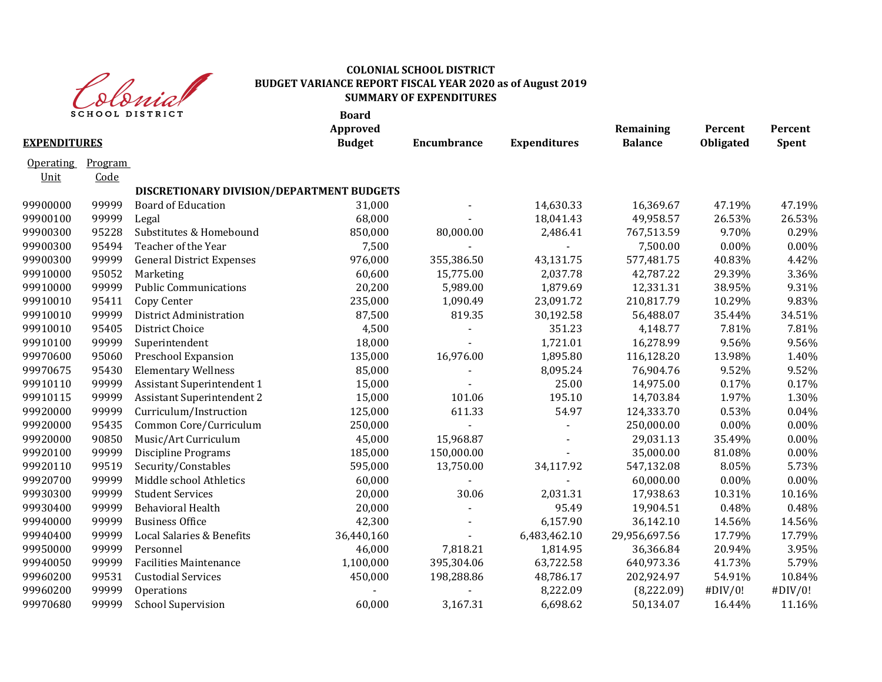

|                          |                 | <b>SCHOOL DISTRICT</b>                    | <b>Board</b><br>Approved |                    |                     | Remaining      | Percent   | Percent |
|--------------------------|-----------------|-------------------------------------------|--------------------------|--------------------|---------------------|----------------|-----------|---------|
| <b>EXPENDITURES</b>      |                 |                                           | <b>Budget</b>            | <b>Encumbrance</b> | <b>Expenditures</b> | <b>Balance</b> | Obligated | Spent   |
| <b>Operating</b><br>Unit | Program<br>Code |                                           |                          |                    |                     |                |           |         |
|                          |                 | DISCRETIONARY DIVISION/DEPARTMENT BUDGETS |                          |                    |                     |                |           |         |
| 99900000                 | 99999           | <b>Board of Education</b>                 | 31,000                   |                    | 14,630.33           | 16,369.67      | 47.19%    | 47.19%  |
| 99900100                 | 99999           | Legal                                     | 68,000                   |                    | 18,041.43           | 49,958.57      | 26.53%    | 26.53%  |
| 99900300                 | 95228           | Substitutes & Homebound                   | 850,000                  | 80,000.00          | 2,486.41            | 767,513.59     | 9.70%     | 0.29%   |
| 99900300                 | 95494           | Teacher of the Year                       | 7,500                    |                    |                     | 7,500.00       | 0.00%     | 0.00%   |
| 99900300                 | 99999           | <b>General District Expenses</b>          | 976,000                  | 355,386.50         | 43,131.75           | 577,481.75     | 40.83%    | 4.42%   |
| 99910000                 | 95052           | Marketing                                 | 60,600                   | 15,775.00          | 2,037.78            | 42,787.22      | 29.39%    | 3.36%   |
| 99910000                 | 99999           | <b>Public Communications</b>              | 20,200                   | 5,989.00           | 1,879.69            | 12,331.31      | 38.95%    | 9.31%   |
| 99910010                 | 95411           | Copy Center                               | 235,000                  | 1,090.49           | 23,091.72           | 210,817.79     | 10.29%    | 9.83%   |
| 99910010                 | 99999           | District Administration                   | 87,500                   | 819.35             | 30,192.58           | 56,488.07      | 35.44%    | 34.51%  |
| 99910010                 | 95405           | District Choice                           | 4,500                    | $\blacksquare$     | 351.23              | 4,148.77       | 7.81%     | 7.81%   |
| 99910100                 | 99999           | Superintendent                            | 18,000                   |                    | 1,721.01            | 16,278.99      | 9.56%     | 9.56%   |
| 99970600                 | 95060           | Preschool Expansion                       | 135,000                  | 16,976.00          | 1,895.80            | 116,128.20     | 13.98%    | 1.40%   |
| 99970675                 | 95430           | <b>Elementary Wellness</b>                | 85,000                   |                    | 8,095.24            | 76,904.76      | 9.52%     | 9.52%   |
| 99910110                 | 99999           | <b>Assistant Superintendent 1</b>         | 15,000                   |                    | 25.00               | 14,975.00      | 0.17%     | 0.17%   |
| 99910115                 | 99999           | <b>Assistant Superintendent 2</b>         | 15,000                   | 101.06             | 195.10              | 14,703.84      | 1.97%     | 1.30%   |
| 99920000                 | 99999           | Curriculum/Instruction                    | 125,000                  | 611.33             | 54.97               | 124,333.70     | 0.53%     | 0.04%   |
| 99920000                 | 95435           | Common Core/Curriculum                    | 250,000                  |                    |                     | 250,000.00     | $0.00\%$  | 0.00%   |
| 99920000                 | 90850           | Music/Art Curriculum                      | 45,000                   | 15,968.87          |                     | 29,031.13      | 35.49%    | 0.00%   |
| 99920100                 | 99999           | Discipline Programs                       | 185,000                  | 150,000.00         |                     | 35,000.00      | 81.08%    | 0.00%   |
| 99920110                 | 99519           | Security/Constables                       | 595,000                  | 13,750.00          | 34,117.92           | 547,132.08     | 8.05%     | 5.73%   |
| 99920700                 | 99999           | Middle school Athletics                   | 60,000                   |                    |                     | 60,000.00      | 0.00%     | 0.00%   |
| 99930300                 | 99999           | <b>Student Services</b>                   | 20,000                   | 30.06              | 2,031.31            | 17,938.63      | 10.31%    | 10.16%  |
| 99930400                 | 99999           | <b>Behavioral Health</b>                  | 20,000                   |                    | 95.49               | 19,904.51      | 0.48%     | 0.48%   |
| 99940000                 | 99999           | <b>Business Office</b>                    | 42,300                   |                    | 6,157.90            | 36,142.10      | 14.56%    | 14.56%  |
| 99940400                 | 99999           | Local Salaries & Benefits                 | 36,440,160               | $\blacksquare$     | 6,483,462.10        | 29,956,697.56  | 17.79%    | 17.79%  |
| 99950000                 | 99999           | Personnel                                 | 46,000                   | 7,818.21           | 1,814.95            | 36,366.84      | 20.94%    | 3.95%   |
| 99940050                 | 99999           | <b>Facilities Maintenance</b>             | 1,100,000                | 395,304.06         | 63,722.58           | 640,973.36     | 41.73%    | 5.79%   |
| 99960200                 | 99531           | <b>Custodial Services</b>                 | 450,000                  | 198,288.86         | 48,786.17           | 202,924.97     | 54.91%    | 10.84%  |
| 99960200                 | 99999           | Operations                                |                          |                    | 8,222.09            | (8,222.09)     | #DIV/0!   | #DIV/0! |
| 99970680                 | 99999           | <b>School Supervision</b>                 | 60,000                   | 3,167.31           | 6,698.62            | 50,134.07      | 16.44%    | 11.16%  |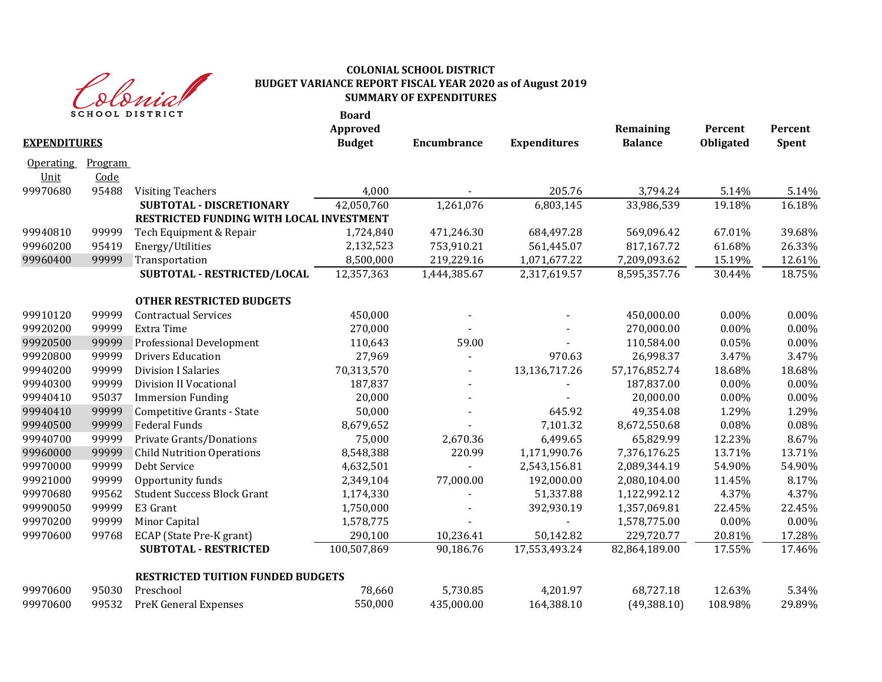

| <b>EXPENDITURES</b>      |                 | <b>SCHOOL DISTRICT</b>                   | <b>Board</b><br>Approved<br><b>Budget</b> | <b>Encumbrance</b> | <b>Expenditures</b>    | Remaining<br><b>Balance</b> | Percent<br>Obligated | Percent<br>Spent |
|--------------------------|-----------------|------------------------------------------|-------------------------------------------|--------------------|------------------------|-----------------------------|----------------------|------------------|
| <b>Operating</b><br>Unit | Program<br>Code |                                          |                                           |                    |                        |                             |                      |                  |
| 99970680                 | 95488           | <b>Visiting Teachers</b>                 | 4,000                                     |                    | 205.76                 | 3,794.24                    | 5.14%                | 5.14%            |
|                          |                 | SUBTOTAL - DISCRETIONARY                 | 42,050,760                                | 1,261,076          | $\overline{6,}803,145$ | 33,986,539                  | 19.18%               | 16.18%           |
|                          |                 | RESTRICTED FUNDING WITH LOCAL INVESTMENT |                                           |                    |                        |                             |                      |                  |
| 99940810                 | 99999           | Tech Equipment & Repair                  | 1,724,840                                 | 471,246.30         | 684,497.28             | 569,096.42                  | 67.01%               | 39.68%           |
| 99960200                 | 95419           | Energy/Utilities                         | 2,132,523                                 | 753,910.21         | 561,445.07             | 817,167.72                  | 61.68%               | 26.33%           |
| 99960400                 | 99999           | Transportation                           | 8,500,000                                 | 219,229.16         | 1,071,677.22           | 7,209,093.62                | 15.19%               | 12.61%           |
|                          |                 | SUBTOTAL - RESTRICTED/LOCAL              | 12,357,363                                | 1,444,385.67       | 2,317,619.57           | 8,595,357.76                | 30.44%               | 18.75%           |
|                          |                 | <b>OTHER RESTRICTED BUDGETS</b>          |                                           |                    |                        |                             |                      |                  |
| 99910120                 | 99999           | <b>Contractual Services</b>              | 450,000                                   |                    |                        | 450,000.00                  | 0.00%                | 0.00%            |
| 99920200                 | 99999           | Extra Time                               | 270,000                                   |                    |                        | 270,000.00                  | $0.00\%$             | 0.00%            |
| 99920500                 | 99999           | Professional Development                 | 110,643                                   | 59.00              |                        | 110,584.00                  | 0.05%                | 0.00%            |
| 99920800                 | 99999           | <b>Drivers Education</b>                 | 27,969                                    |                    | 970.63                 | 26,998.37                   | 3.47%                | 3.47%            |
| 99940200                 | 99999           | <b>Division I Salaries</b>               | 70,313,570                                |                    | 13,136,717.26          | 57,176,852.74               | 18.68%               | 18.68%           |
| 99940300                 | 99999           | <b>Division II Vocational</b>            | 187,837                                   |                    |                        | 187,837.00                  | $0.00\%$             | 0.00%            |
| 99940410                 | 95037           | <b>Immersion Funding</b>                 | 20,000                                    |                    |                        | 20,000.00                   | $0.00\%$             | $0.00\%$         |
| 99940410                 | 99999           | <b>Competitive Grants - State</b>        | 50,000                                    |                    | 645.92                 | 49,354.08                   | 1.29%                | 1.29%            |
| 99940500                 | 99999           | <b>Federal Funds</b>                     | 8,679,652                                 |                    | 7,101.32               | 8,672,550.68                | 0.08%                | 0.08%            |
| 99940700                 | 99999           | Private Grants/Donations                 | 75,000                                    | 2,670.36           | 6,499.65               | 65,829.99                   | 12.23%               | 8.67%            |
| 99960000                 | 99999           | <b>Child Nutrition Operations</b>        | 8,548,388                                 | 220.99             | 1,171,990.76           | 7,376,176.25                | 13.71%               | 13.71%           |
| 99970000                 | 99999           | Debt Service                             | 4,632,501                                 |                    | 2,543,156.81           | 2,089,344.19                | 54.90%               | 54.90%           |
| 99921000                 | 99999           | Opportunity funds                        | 2,349,104                                 | 77,000.00          | 192,000.00             | 2,080,104.00                | 11.45%               | 8.17%            |
| 99970680                 | 99562           | <b>Student Success Block Grant</b>       | 1,174,330                                 |                    | 51,337.88              | 1,122,992.12                | 4.37%                | 4.37%            |
| 99990050                 | 99999           | E3 Grant                                 | 1,750,000                                 |                    | 392,930.19             | 1,357,069.81                | 22.45%               | 22.45%           |
| 99970200                 | 99999           | Minor Capital                            | 1,578,775                                 |                    |                        | 1,578,775.00                | 0.00%                | 0.00%            |
| 99970600                 | 99768           | ECAP (State Pre-K grant)                 | 290,100                                   | 10,236.41          | 50,142.82              | 229,720.77                  | 20.81%               | 17.28%           |
|                          |                 | <b>SUBTOTAL - RESTRICTED</b>             | 100,507,869                               | 90,186.76          | 17,553,493.24          | 82,864,189.00               | 17.55%               | 17.46%           |
|                          |                 | <b>RESTRICTED TUITION FUNDED BUDGETS</b> |                                           |                    |                        |                             |                      |                  |
| 99970600                 | 95030           | Preschool                                | 78,660                                    | 5,730.85           | 4,201.97               | 68,727.18                   | 12.63%               | 5.34%            |
| 99970600                 | 99532           | <b>PreK General Expenses</b>             | 550,000                                   | 435,000.00         | 164,388.10             | (49, 388.10)                | 108.98%              | 29.89%           |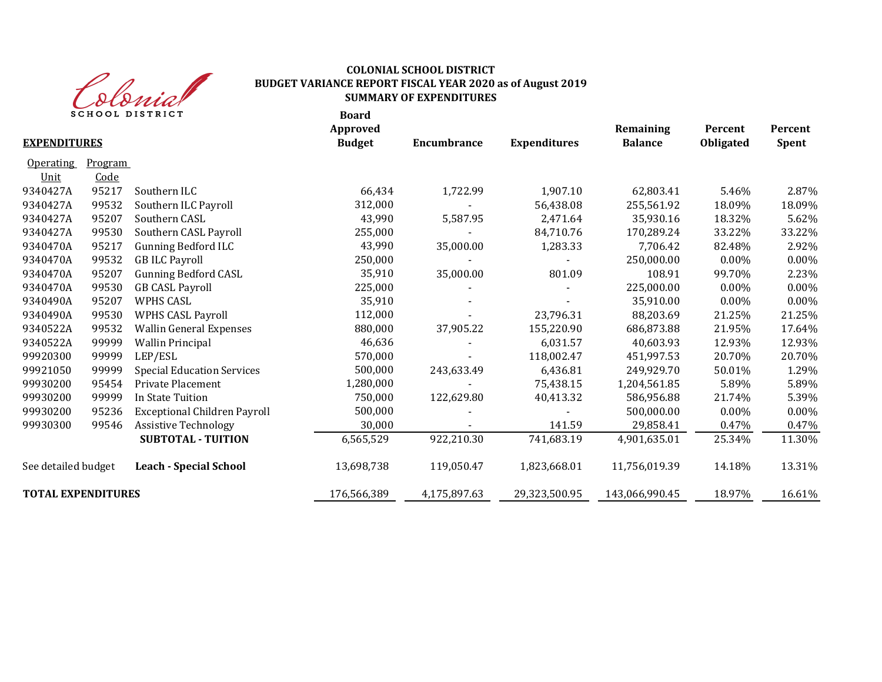

|                           |         | <b>SCHOOL DISTRICT</b>              | <b>Board</b><br>Approved |                    |                     | Remaining      | Percent   | Percent      |
|---------------------------|---------|-------------------------------------|--------------------------|--------------------|---------------------|----------------|-----------|--------------|
| <b>EXPENDITURES</b>       |         |                                     | <b>Budget</b>            | <b>Encumbrance</b> | <b>Expenditures</b> | <b>Balance</b> | Obligated | <b>Spent</b> |
| <b>Operating</b>          | Program |                                     |                          |                    |                     |                |           |              |
| Unit                      | Code    |                                     |                          |                    |                     |                |           |              |
| 9340427A                  | 95217   | Southern ILC                        | 66,434                   | 1,722.99           | 1,907.10            | 62,803.41      | 5.46%     | 2.87%        |
| 9340427A                  | 99532   | Southern ILC Payroll                | 312,000                  |                    | 56,438.08           | 255,561.92     | 18.09%    | 18.09%       |
| 9340427A                  | 95207   | Southern CASL                       | 43,990                   | 5,587.95           | 2,471.64            | 35,930.16      | 18.32%    | 5.62%        |
| 9340427A                  | 99530   | Southern CASL Payroll               | 255,000                  |                    | 84,710.76           | 170,289.24     | 33.22%    | 33.22%       |
| 9340470A                  | 95217   | <b>Gunning Bedford ILC</b>          | 43,990                   | 35,000.00          | 1,283.33            | 7,706.42       | 82.48%    | 2.92%        |
| 9340470A                  | 99532   | <b>GB ILC Payroll</b>               | 250,000                  |                    |                     | 250,000.00     | 0.00%     | $0.00\%$     |
| 9340470A                  | 95207   | <b>Gunning Bedford CASL</b>         | 35,910                   | 35,000.00          | 801.09              | 108.91         | 99.70%    | 2.23%        |
| 9340470A                  | 99530   | <b>GB CASL Payroll</b>              | 225,000                  |                    |                     | 225,000.00     | $0.00\%$  | 0.00%        |
| 9340490A                  | 95207   | <b>WPHS CASL</b>                    | 35,910                   |                    |                     | 35,910.00      | 0.00%     | $0.00\%$     |
| 9340490A                  | 99530   | <b>WPHS CASL Payroll</b>            | 112,000                  |                    | 23,796.31           | 88,203.69      | 21.25%    | 21.25%       |
| 9340522A                  | 99532   | <b>Wallin General Expenses</b>      | 880,000                  | 37,905.22          | 155,220.90          | 686,873.88     | 21.95%    | 17.64%       |
| 9340522A                  | 99999   | <b>Wallin Principal</b>             | 46,636                   |                    | 6,031.57            | 40,603.93      | 12.93%    | 12.93%       |
| 99920300                  | 99999   | LEP/ESL                             | 570,000                  |                    | 118,002.47          | 451,997.53     | 20.70%    | 20.70%       |
| 99921050                  | 99999   | <b>Special Education Services</b>   | 500,000                  | 243,633.49         | 6,436.81            | 249,929.70     | 50.01%    | 1.29%        |
| 99930200                  | 95454   | Private Placement                   | 1,280,000                |                    | 75,438.15           | 1,204,561.85   | 5.89%     | 5.89%        |
| 99930200                  | 99999   | In State Tuition                    | 750,000                  | 122,629.80         | 40,413.32           | 586,956.88     | 21.74%    | 5.39%        |
| 99930200                  | 95236   | <b>Exceptional Children Payroll</b> | 500,000                  |                    |                     | 500,000.00     | 0.00%     | 0.00%        |
| 99930300                  | 99546   | <b>Assistive Technology</b>         | 30,000                   |                    | 141.59              | 29,858.41      | 0.47%     | 0.47%        |
|                           |         | <b>SUBTOTAL - TUITION</b>           | 6,565,529                | 922,210.30         | 741,683.19          | 4,901,635.01   | 25.34%    | 11.30%       |
| See detailed budget       |         | <b>Leach - Special School</b>       | 13,698,738               | 119,050.47         | 1,823,668.01        | 11,756,019.39  | 14.18%    | 13.31%       |
| <b>TOTAL EXPENDITURES</b> |         |                                     | 176,566,389              | 4,175,897.63       | 29,323,500.95       | 143,066,990.45 | 18.97%    | 16.61%       |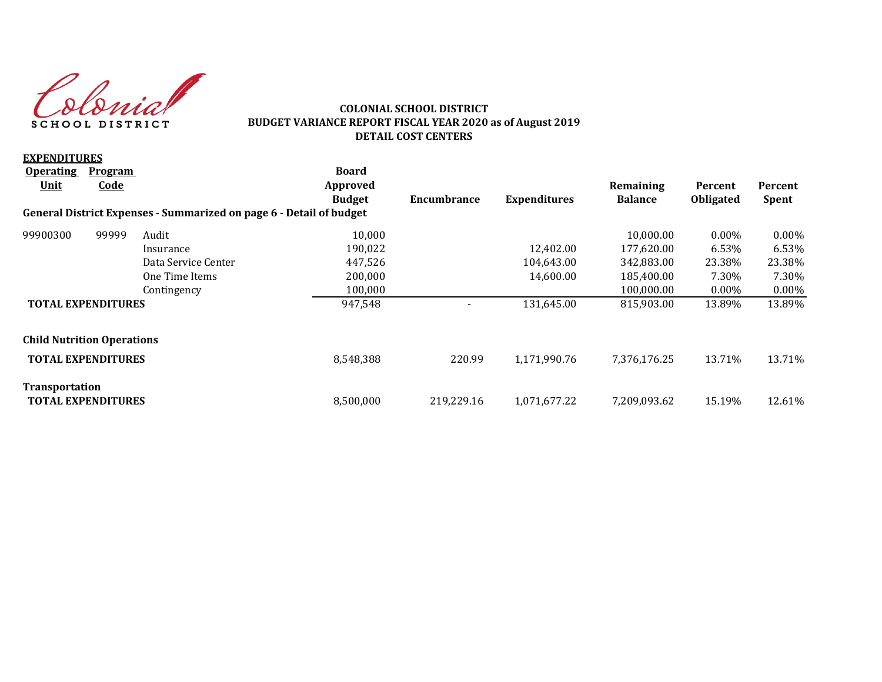Colonia SCHOOL DISTRICT

#### **COLONIAL SCHOOL DISTRICT BUDGET VARIANCE REPORT FISCAL YEAR 2020 as of August 2019 DETAIL COST CENTERS**

| <b>EXPENDITURES</b>                                |                |                                                                     |               |                          |                     |                |                  |              |
|----------------------------------------------------|----------------|---------------------------------------------------------------------|---------------|--------------------------|---------------------|----------------|------------------|--------------|
| <b>Operating</b>                                   | <b>Program</b> |                                                                     | <b>Board</b>  |                          |                     |                |                  |              |
| <u>Unit</u>                                        | <u>Code</u>    |                                                                     | Approved      |                          |                     | Remaining      | Percent          | Percent      |
|                                                    |                |                                                                     | <b>Budget</b> | Encumbrance              | <b>Expenditures</b> | <b>Balance</b> | <b>Obligated</b> | <b>Spent</b> |
|                                                    |                | General District Expenses - Summarized on page 6 - Detail of budget |               |                          |                     |                |                  |              |
| 99900300                                           | 99999          | Audit                                                               | 10,000        |                          |                     | 10,000.00      | $0.00\%$         | $0.00\%$     |
|                                                    |                | Insurance                                                           | 190,022       |                          | 12.402.00           | 177,620.00     | 6.53%            | 6.53%        |
|                                                    |                | Data Service Center                                                 | 447,526       |                          | 104,643.00          | 342,883.00     | 23.38%           | 23.38%       |
|                                                    |                | One Time Items                                                      | 200,000       |                          | 14.600.00           | 185,400.00     | 7.30%            | 7.30%        |
|                                                    |                | Contingency                                                         | 100,000       |                          |                     | 100,000.00     | $0.00\%$         | $0.00\%$     |
| <b>TOTAL EXPENDITURES</b>                          |                |                                                                     | 947,548       | $\overline{\phantom{a}}$ | 131,645.00          | 815,903.00     | 13.89%           | 13.89%       |
| <b>Child Nutrition Operations</b>                  |                |                                                                     |               |                          |                     |                |                  |              |
| <b>TOTAL EXPENDITURES</b>                          |                |                                                                     | 8,548,388     | 220.99                   | 1,171,990.76        | 7,376,176.25   | 13.71%           | 13.71%       |
| <b>Transportation</b><br><b>TOTAL EXPENDITURES</b> |                |                                                                     | 8.500.000     | 219.229.16               | 1,071,677.22        | 7,209,093.62   | 15.19%           | 12.61%       |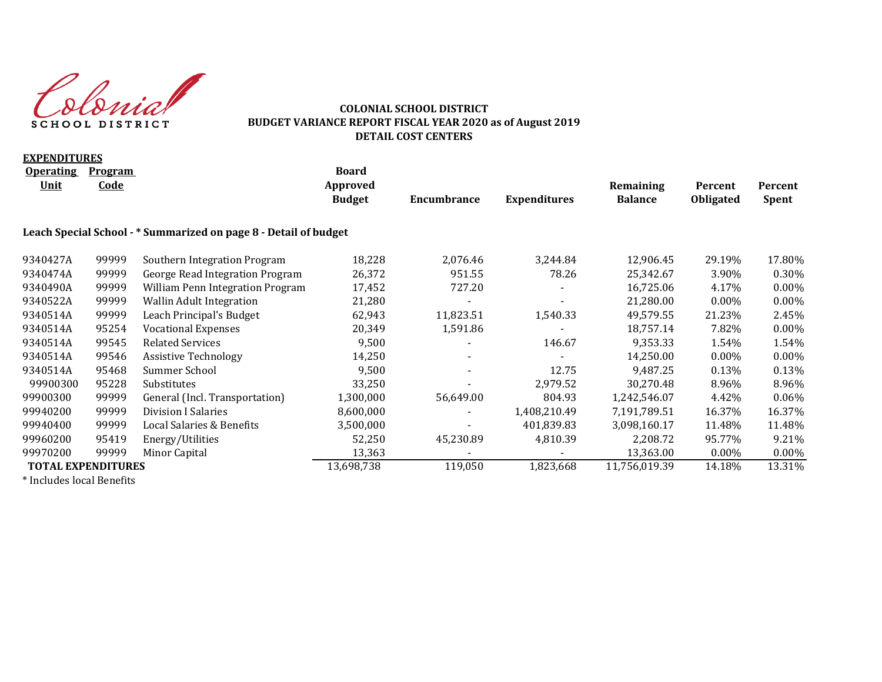Colonial SCHOOL DISTRICT

#### **COLONIAL SCHOOL DISTRICT BUDGET VARIANCE REPORT FISCAL YEAR 2020 as of August 2019 DETAIL COST CENTERS**

| <b>EXPENDITURES</b>                 |                               |                                                                  |                                           |             |                     |                             |                      |                         |
|-------------------------------------|-------------------------------|------------------------------------------------------------------|-------------------------------------------|-------------|---------------------|-----------------------------|----------------------|-------------------------|
| <b>Operating</b><br><b>Unit</b>     | <b>Program</b><br><b>Code</b> |                                                                  | <b>Board</b><br>Approved<br><b>Budget</b> | Encumbrance | <b>Expenditures</b> | Remaining<br><b>Balance</b> | Percent<br>Obligated | Percent<br><b>Spent</b> |
|                                     |                               | Leach Special School - * Summarized on page 8 - Detail of budget |                                           |             |                     |                             |                      |                         |
| 9340427A                            | 99999                         | Southern Integration Program                                     | 18,228                                    | 2,076.46    | 3,244.84            | 12,906.45                   | 29.19%               | 17.80%                  |
| 9340474A                            | 99999                         | George Read Integration Program                                  | 26,372                                    | 951.55      | 78.26               | 25,342.67                   | 3.90%                | 0.30%                   |
| 9340490A                            | 99999                         | William Penn Integration Program                                 | 17,452                                    | 727.20      |                     | 16,725.06                   | 4.17%                | 0.00%                   |
| 9340522A                            | 99999                         | <b>Wallin Adult Integration</b>                                  | 21,280                                    |             |                     | 21,280.00                   | $0.00\%$             | $0.00\%$                |
| 9340514A                            | 99999                         | Leach Principal's Budget                                         | 62,943                                    | 11,823.51   | 1,540.33            | 49,579.55                   | 21.23%               | 2.45%                   |
| 9340514A                            | 95254                         | <b>Vocational Expenses</b>                                       | 20,349                                    | 1,591.86    |                     | 18,757.14                   | 7.82%                | 0.00%                   |
| 9340514A                            | 99545                         | <b>Related Services</b>                                          | 9,500                                     |             | 146.67              | 9,353.33                    | 1.54%                | 1.54%                   |
| 9340514A                            | 99546                         | <b>Assistive Technology</b>                                      | 14,250                                    |             |                     | 14,250.00                   | $0.00\%$             | $0.00\%$                |
| 9340514A                            | 95468                         | Summer School                                                    | 9,500                                     |             | 12.75               | 9,487.25                    | 0.13%                | 0.13%                   |
| 99900300                            | 95228                         | Substitutes                                                      | 33,250                                    |             | 2,979.52            | 30,270.48                   | 8.96%                | 8.96%                   |
| 99900300                            | 99999                         | General (Incl. Transportation)                                   | 1,300,000                                 | 56,649.00   | 804.93              | 1,242,546.07                | 4.42%                | $0.06\%$                |
| 99940200                            | 99999                         | Division I Salaries                                              | 8,600,000                                 |             | 1,408,210.49        | 7,191,789.51                | 16.37%               | 16.37%                  |
| 99940400                            | 99999                         | Local Salaries & Benefits                                        | 3,500,000                                 |             | 401,839.83          | 3,098,160.17                | 11.48%               | 11.48%                  |
| 99960200                            | 95419                         | Energy/Utilities                                                 | 52,250                                    | 45,230.89   | 4,810.39            | 2,208.72                    | 95.77%               | 9.21%                   |
| 99970200                            | 99999                         | Minor Capital                                                    | 13,363                                    |             |                     | 13,363.00                   | $0.00\%$             | 0.00%                   |
| <b>TOTAL EXPENDITURES</b>           |                               |                                                                  | 13,698,738                                | 119,050     | 1,823,668           | 11,756,019.39               | 14.18%               | 13.31%                  |
| $*$ Let $l = l - l - l - l$ Decoder |                               |                                                                  |                                           |             |                     |                             |                      |                         |

\* Includes local Benefits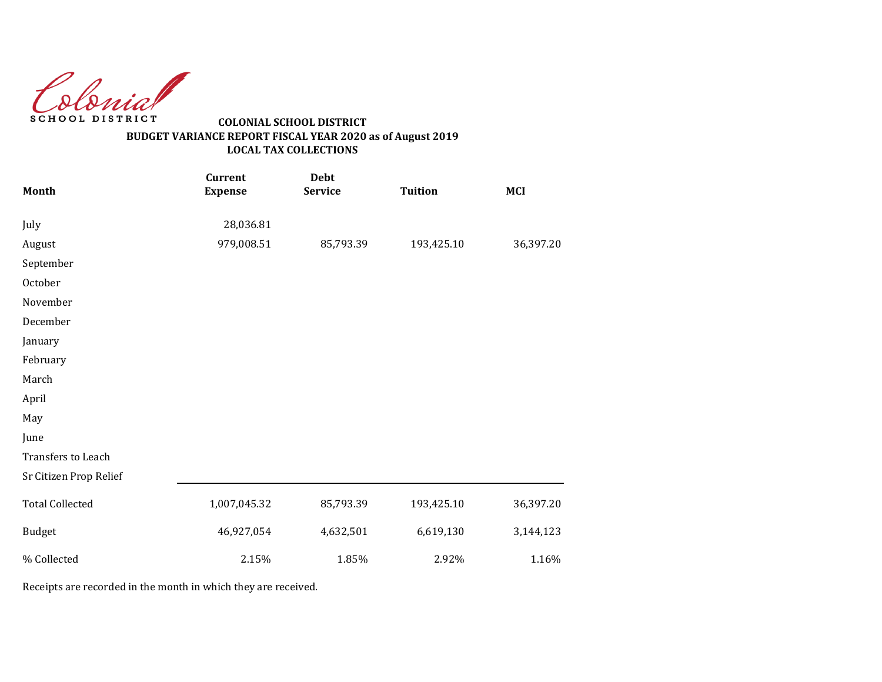Colonial SCHOOL DISTRICT

# **BUDGET VARIANCE REPORT FISCAL YEAR 2020 as of August 2019 LOCAL TAX COLLECTIONS COLONIAL SCHOOL DISTRICT**

| Month                  | <b>Current</b><br><b>Expense</b> | <b>Debt</b><br><b>Service</b> | <b>Tuition</b> | <b>MCI</b> |
|------------------------|----------------------------------|-------------------------------|----------------|------------|
| July                   | 28,036.81                        |                               |                |            |
| August                 | 979,008.51                       | 85,793.39                     | 193,425.10     | 36,397.20  |
| September              |                                  |                               |                |            |
| October                |                                  |                               |                |            |
| November               |                                  |                               |                |            |
| December               |                                  |                               |                |            |
| January                |                                  |                               |                |            |
| February               |                                  |                               |                |            |
| March                  |                                  |                               |                |            |
| April                  |                                  |                               |                |            |
| May                    |                                  |                               |                |            |
| June                   |                                  |                               |                |            |
| Transfers to Leach     |                                  |                               |                |            |
| Sr Citizen Prop Relief |                                  |                               |                |            |
| <b>Total Collected</b> | 1,007,045.32                     | 85,793.39                     | 193,425.10     | 36,397.20  |
| <b>Budget</b>          | 46,927,054                       | 4,632,501                     | 6,619,130      | 3,144,123  |
| % Collected            | 2.15%                            | 1.85%                         | 2.92%          | 1.16%      |

Receipts are recorded in the month in which they are received.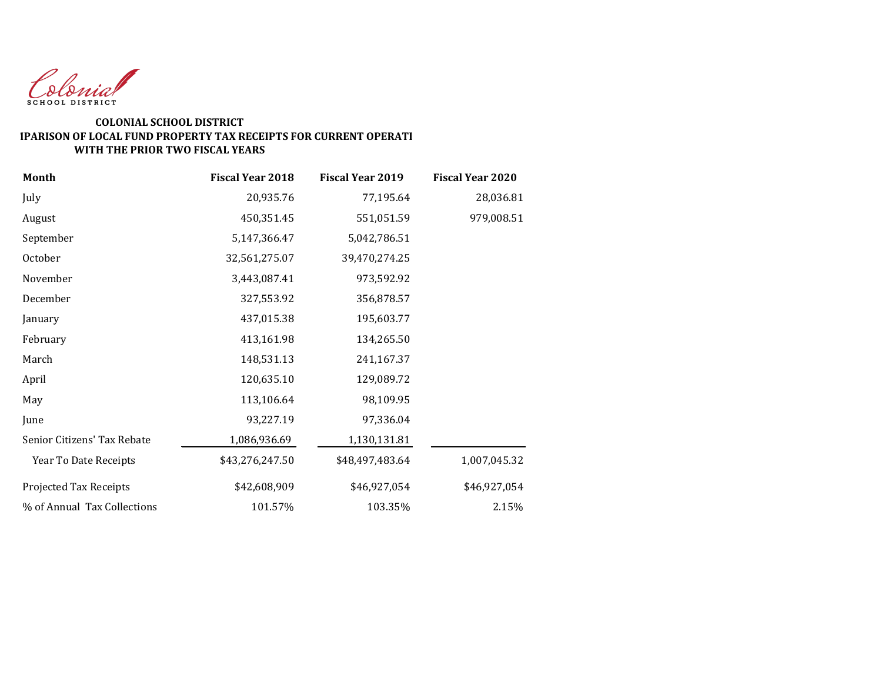

#### **WITH THE PRIOR TWO FISCAL YEARS COLONIAL SCHOOL DISTRICT COMPARISON OF LOCAL FUND PROPERTY TAX RECEIPTS FOR CURRENT OPERATI**

| Month                       | <b>Fiscal Year 2018</b> | <b>Fiscal Year 2019</b> | <b>Fiscal Year 2020</b> |
|-----------------------------|-------------------------|-------------------------|-------------------------|
| July                        | 20,935.76               | 77,195.64               | 28,036.81               |
| August                      | 450,351.45              | 551,051.59              | 979,008.51              |
| September                   | 5,147,366.47            | 5,042,786.51            |                         |
| October                     | 32,561,275.07           | 39,470,274.25           |                         |
| November                    | 3,443,087.41            | 973,592.92              |                         |
| December                    | 327,553.92              | 356,878.57              |                         |
| January                     | 437,015.38              | 195,603.77              |                         |
| February                    | 413,161.98              | 134,265.50              |                         |
| March                       | 148,531.13              | 241,167.37              |                         |
| April                       | 120,635.10              | 129,089.72              |                         |
| May                         | 113,106.64              | 98,109.95               |                         |
| June                        | 93,227.19               | 97,336.04               |                         |
| Senior Citizens' Tax Rebate | 1,086,936.69            | 1,130,131.81            |                         |
| Year To Date Receipts       | \$43,276,247.50         | \$48,497,483.64         | 1,007,045.32            |
| Projected Tax Receipts      | \$42,608,909            | \$46,927,054            | \$46,927,054            |
| % of Annual Tax Collections | 101.57%                 | 103.35%                 | 2.15%                   |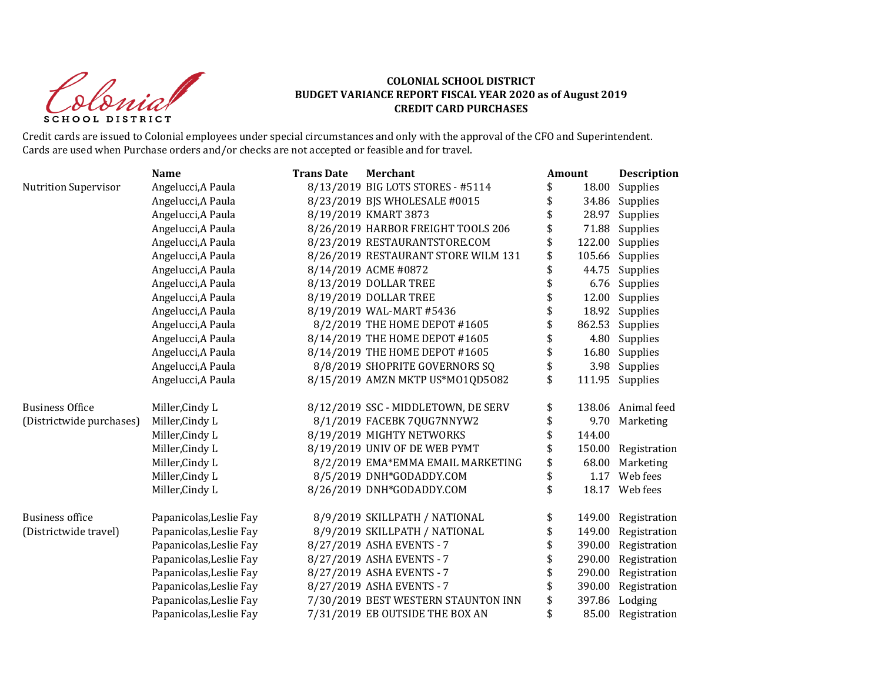Colonial SCHOOL DISTRICT

# **COLONIAL SCHOOL DISTRICT BUDGET VARIANCE REPORT FISCAL YEAR 2020 as of August 2019 CREDIT CARD PURCHASES**

Credit cards are issued to Colonial employees under special circumstances and only with the approval of the CFO and Superintendent. Cards are used when Purchase orders and/or checks are not accepted or feasible and for travel.

|                          | <b>Name</b>             | <b>Trans Date</b> | <b>Merchant</b>                     | Amount |        | Description        |
|--------------------------|-------------------------|-------------------|-------------------------------------|--------|--------|--------------------|
| Nutrition Supervisor     | Angelucci, A Paula      |                   | 8/13/2019 BIG LOTS STORES - #5114   | \$     | 18.00  | Supplies           |
|                          | Angelucci, A Paula      |                   | 8/23/2019 BJS WHOLESALE #0015       | \$     | 34.86  | Supplies           |
|                          | Angelucci, A Paula      |                   | 8/19/2019 KMART 3873                |        | 28.97  | Supplies           |
|                          | Angelucci, A Paula      |                   | 8/26/2019 HARBOR FREIGHT TOOLS 206  | \$     | 71.88  | Supplies           |
|                          | Angelucci, A Paula      |                   | 8/23/2019 RESTAURANTSTORE.COM       | \$     | 122.00 | Supplies           |
|                          | Angelucci, A Paula      |                   | 8/26/2019 RESTAURANT STORE WILM 131 | \$     | 105.66 | Supplies           |
|                          | Angelucci, A Paula      |                   | 8/14/2019 ACME #0872                | \$     | 44.75  | Supplies           |
|                          | Angelucci, A Paula      |                   | 8/13/2019 DOLLAR TREE               | \$     | 6.76   | Supplies           |
|                          | Angelucci, A Paula      |                   | 8/19/2019 DOLLAR TREE               |        | 12.00  | Supplies           |
|                          | Angelucci, A Paula      |                   | 8/19/2019 WAL-MART #5436            |        | 18.92  | Supplies           |
|                          | Angelucci, A Paula      |                   | 8/2/2019 THE HOME DEPOT #1605       |        | 862.53 | Supplies           |
|                          | Angelucci, A Paula      |                   | 8/14/2019 THE HOME DEPOT #1605      | \$     | 4.80   | Supplies           |
|                          | Angelucci, A Paula      |                   | 8/14/2019 THE HOME DEPOT #1605      |        | 16.80  | Supplies           |
|                          | Angelucci, A Paula      |                   | 8/8/2019 SHOPRITE GOVERNORS SQ      | \$     | 3.98   | Supplies           |
|                          | Angelucci, A Paula      |                   | 8/15/2019 AMZN MKTP US*M01QD5082    | \$     | 111.95 | Supplies           |
| <b>Business Office</b>   | Miller, Cindy L         |                   | 8/12/2019 SSC - MIDDLETOWN, DE SERV | \$     |        | 138.06 Animal feed |
| (Districtwide purchases) | Miller, Cindy L         |                   | 8/1/2019 FACEBK 7QUG7NNYW2          | \$     | 9.70   | Marketing          |
|                          | Miller, Cindy L         |                   | 8/19/2019 MIGHTY NETWORKS           | \$     | 144.00 |                    |
|                          | Miller, Cindy L         |                   | 8/19/2019 UNIV OF DE WEB PYMT       | \$     | 150.00 | Registration       |
|                          | Miller, Cindy L         |                   | 8/2/2019 EMA*EMMA EMAIL MARKETING   | \$     | 68.00  | Marketing          |
|                          | Miller, Cindy L         |                   | 8/5/2019 DNH*GODADDY.COM            | \$     | 1.17   | Web fees           |
|                          | Miller, Cindy L         |                   | 8/26/2019 DNH*GODADDY.COM           | \$     |        | 18.17 Web fees     |
| <b>Business office</b>   | Papanicolas, Leslie Fay |                   | 8/9/2019 SKILLPATH / NATIONAL       | \$     | 149.00 | Registration       |
| (Districtwide travel)    | Papanicolas, Leslie Fay |                   | 8/9/2019 SKILLPATH / NATIONAL       | \$     | 149.00 | Registration       |
|                          | Papanicolas, Leslie Fay |                   | 8/27/2019 ASHA EVENTS - 7           | \$     | 390.00 | Registration       |
|                          | Papanicolas, Leslie Fay |                   | 8/27/2019 ASHA EVENTS - 7           | \$     | 290.00 | Registration       |
|                          | Papanicolas, Leslie Fay |                   | 8/27/2019 ASHA EVENTS - 7           | \$     | 290.00 | Registration       |
|                          | Papanicolas, Leslie Fay |                   | 8/27/2019 ASHA EVENTS - 7           | \$     | 390.00 | Registration       |
|                          | Papanicolas, Leslie Fay |                   | 7/30/2019 BEST WESTERN STAUNTON INN | \$     | 397.86 | Lodging            |
|                          | Papanicolas, Leslie Fay |                   | 7/31/2019 EB OUTSIDE THE BOX AN     | \$     | 85.00  | Registration       |
|                          |                         |                   |                                     |        |        |                    |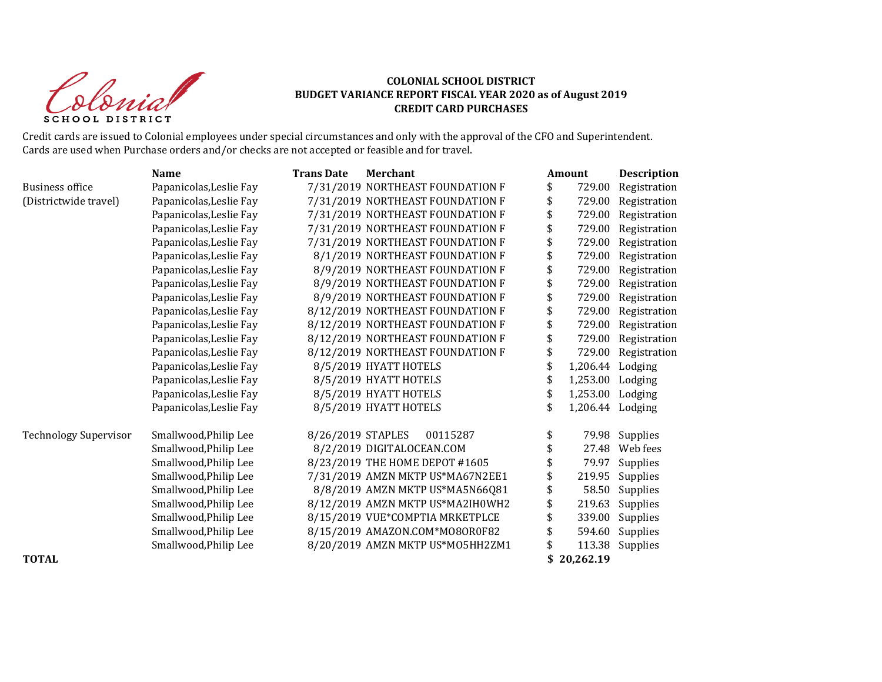Colonial SCHOOL DISTRICT

# **COLONIAL SCHOOL DISTRICT BUDGET VARIANCE REPORT FISCAL YEAR 2020 as of August 2019 CREDIT CARD PURCHASES**

Credit cards are issued to Colonial employees under special circumstances and only with the approval of the CFO and Superintendent. Cards are used when Purchase orders and/or checks are not accepted or feasible and for travel.

|                              | <b>Name</b>             | <b>Trans Date</b> | <b>Merchant</b>                  | <b>Amount</b>          | Description  |
|------------------------------|-------------------------|-------------------|----------------------------------|------------------------|--------------|
| <b>Business office</b>       | Papanicolas, Leslie Fay |                   | 7/31/2019 NORTHEAST FOUNDATION F | \$<br>729.00           | Registration |
| (Districtwide travel)        | Papanicolas, Leslie Fay |                   | 7/31/2019 NORTHEAST FOUNDATION F | \$<br>729.00           | Registration |
|                              | Papanicolas, Leslie Fay |                   | 7/31/2019 NORTHEAST FOUNDATION F | \$<br>729.00           | Registration |
|                              | Papanicolas, Leslie Fay |                   | 7/31/2019 NORTHEAST FOUNDATION F | \$<br>729.00           | Registration |
|                              | Papanicolas, Leslie Fay |                   | 7/31/2019 NORTHEAST FOUNDATION F | \$<br>729.00           | Registration |
|                              | Papanicolas, Leslie Fay |                   | 8/1/2019 NORTHEAST FOUNDATION F  | 729.00                 | Registration |
|                              | Papanicolas, Leslie Fay |                   | 8/9/2019 NORTHEAST FOUNDATION F  | \$<br>729.00           | Registration |
|                              | Papanicolas, Leslie Fay |                   | 8/9/2019 NORTHEAST FOUNDATION F  | \$<br>729.00           | Registration |
|                              | Papanicolas, Leslie Fay |                   | 8/9/2019 NORTHEAST FOUNDATION F  | \$<br>729.00           | Registration |
|                              | Papanicolas, Leslie Fay |                   | 8/12/2019 NORTHEAST FOUNDATION F | \$<br>729.00           | Registration |
|                              | Papanicolas, Leslie Fay |                   | 8/12/2019 NORTHEAST FOUNDATION F | \$<br>729.00           | Registration |
|                              | Papanicolas, Leslie Fay |                   | 8/12/2019 NORTHEAST FOUNDATION F | \$<br>729.00           | Registration |
|                              | Papanicolas, Leslie Fay |                   | 8/12/2019 NORTHEAST FOUNDATION F | \$<br>729.00           | Registration |
|                              | Papanicolas, Leslie Fay |                   | 8/5/2019 HYATT HOTELS            | \$<br>1,206.44         | Lodging      |
|                              | Papanicolas, Leslie Fay |                   | 8/5/2019 HYATT HOTELS            | \$<br>1,253.00         | Lodging      |
|                              | Papanicolas, Leslie Fay |                   | 8/5/2019 HYATT HOTELS            | \$<br>1,253.00         | Lodging      |
|                              | Papanicolas, Leslie Fay |                   | 8/5/2019 HYATT HOTELS            | \$<br>1,206.44 Lodging |              |
| <b>Technology Supervisor</b> | Smallwood, Philip Lee   | 8/26/2019 STAPLES | 00115287                         | \$<br>79.98            | Supplies     |
|                              | Smallwood, Philip Lee   |                   | 8/2/2019 DIGITALOCEAN.COM        | 27.48                  | Web fees     |
|                              | Smallwood, Philip Lee   |                   | 8/23/2019 THE HOME DEPOT #1605   | 79.97                  | Supplies     |
|                              | Smallwood, Philip Lee   |                   | 7/31/2019 AMZN MKTP US*MA67N2EE1 | \$<br>219.95           | Supplies     |
|                              | Smallwood, Philip Lee   |                   | 8/8/2019 AMZN MKTP US*MA5N66Q81  | \$<br>58.50            | Supplies     |
|                              | Smallwood, Philip Lee   |                   | 8/12/2019 AMZN MKTP US*MA2IH0WH2 | \$<br>219.63           | Supplies     |
|                              | Smallwood, Philip Lee   |                   | 8/15/2019 VUE*COMPTIA MRKETPLCE  | 339.00                 | Supplies     |
|                              | Smallwood, Philip Lee   |                   | 8/15/2019 AMAZON.COM*MO8OR0F82   | 594.60                 | Supplies     |
|                              | Smallwood, Philip Lee   |                   | 8/20/2019 AMZN MKTP US*M05HH2ZM1 | \$<br>113.38           | Supplies     |
| <b>TOTAL</b>                 |                         |                   |                                  | \$<br>20,262.19        |              |